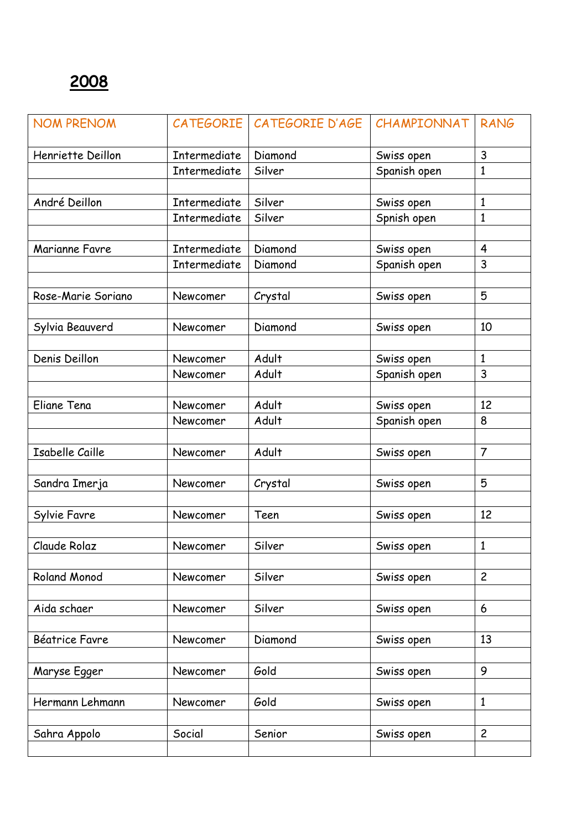| <b>NOM PRENOM</b>      |              | CATEGORIE   CATEGORIE D'AGE | CHAMPIONNAT  | <b>RANG</b>             |
|------------------------|--------------|-----------------------------|--------------|-------------------------|
| Henriette Deillon      | Intermediate | Diamond<br>Swiss open       |              | 3                       |
|                        | Intermediate | Silver                      | Spanish open | $\mathbf{1}$            |
|                        |              |                             |              |                         |
| André Deillon          | Intermediate | Silver                      | Swiss open   | $\mathbf{1}$            |
|                        | Intermediate | Silver                      | Spnish open  | $\mathbf{1}$            |
|                        |              |                             |              |                         |
| Marianne Favre         | Intermediate | Diamond                     | Swiss open   | $\overline{\mathbf{4}}$ |
|                        | Intermediate | Diamond                     | Spanish open | 3                       |
|                        |              |                             |              |                         |
| Rose-Marie Soriano     | Newcomer     | Crystal                     | Swiss open   | 5                       |
|                        |              |                             |              |                         |
| Sylvia Beauverd        | Newcomer     | Diamond                     | Swiss open   | 10                      |
|                        |              |                             |              |                         |
| Denis Deillon          | Newcomer     | Adult                       | Swiss open   | 1                       |
|                        | Newcomer     | Adult                       | Spanish open | 3                       |
|                        |              |                             |              |                         |
| Eliane Tena            | Newcomer     | Adult                       | Swiss open   | 12                      |
|                        | Newcomer     | Adult                       | Spanish open | 8                       |
|                        |              |                             |              |                         |
| <b>Isabelle Caille</b> | Newcomer     | Adult                       | Swiss open   | $\overline{7}$          |
|                        |              |                             |              |                         |
| Sandra Imerja          | Newcomer     | Crystal                     | Swiss open   | 5                       |
|                        |              |                             |              |                         |
| Sylvie Favre           | Newcomer     | Teen                        | Swiss open   | 12                      |
|                        |              |                             |              |                         |
| Claude Rolaz           | Newcomer     | Silver                      | Swiss open   | $\mathbf{1}$            |
|                        |              |                             |              |                         |
| Roland Monod           | Newcomer     | Silver                      | Swiss open   | $\overline{2}$          |
|                        |              |                             |              |                         |
| Aida schaer            | Newcomer     | Silver                      | Swiss open   | 6                       |
|                        |              |                             |              |                         |
| Béatrice Favre         | Newcomer     | Diamond                     | Swiss open   | 13                      |
|                        |              |                             |              |                         |
| Maryse Egger           | Newcomer     | Gold                        | Swiss open   | 9                       |
|                        |              |                             |              |                         |
| Hermann Lehmann        | Newcomer     | Gold                        | Swiss open   | $\mathbf{1}$            |
|                        |              |                             |              |                         |
| Sahra Appolo           | Social       | Senior                      | Swiss open   | $\overline{c}$          |
|                        |              |                             |              |                         |